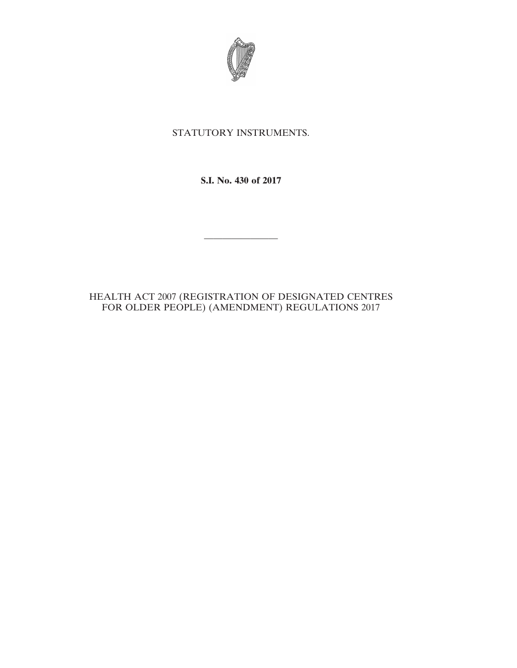

## STATUTORY INSTRUMENTS.

**S.I. No. 430 of 2017**

————————

## HEALTH ACT 2007 (REGISTRATION OF DESIGNATED CENTRES FOR OLDER PEOPLE) (AMENDMENT) REGULATIONS 2017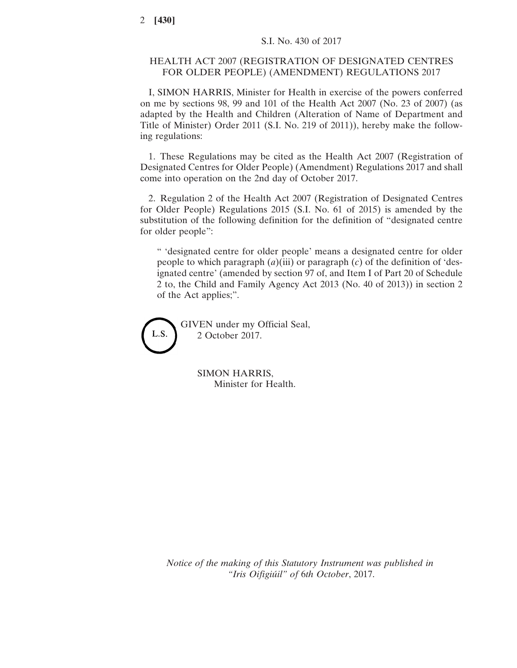## HEALTH ACT 2007 (REGISTRATION OF DESIGNATED CENTRES FOR OLDER PEOPLE) (AMENDMENT) REGULATIONS 2017

I, SIMON HARRIS, Minister for Health in exercise of the powers conferred on me by sections 98, 99 and 101 of the Health Act 2007 (No. 23 of 2007) (as adapted by the Health and Children (Alteration of Name of Department and Title of Minister) Order 2011 (S.I. No. 219 of 2011)), hereby make the following regulations:

1. These Regulations may be cited as the Health Act 2007 (Registration of Designated Centres for Older People) (Amendment) Regulations 2017 and shall come into operation on the 2nd day of October 2017.

2. Regulation 2 of the Health Act 2007 (Registration of Designated Centres for Older People) Regulations 2015 (S.I. No. 61 of 2015) is amended by the substitution of the following definition for the definition of "designated centre for older people":

" 'designated centre for older people' means a designated centre for older people to which paragraph (*a*)(iii) or paragraph (*c*) of the definition of 'designated centre' (amended by section 97 of, and Item I of Part 20 of Schedule 2 to, the Child and Family Agency Act 2013 (No. 40 of 2013)) in section 2 of the Act applies;".



GIVEN under my Official Seal, 2 October 2017.

> SIMON HARRIS, Minister for Health.

*Notice of the making of this Statutory Instrument was published in "Iris Oifigiúil" of* 6*th October*, 2017.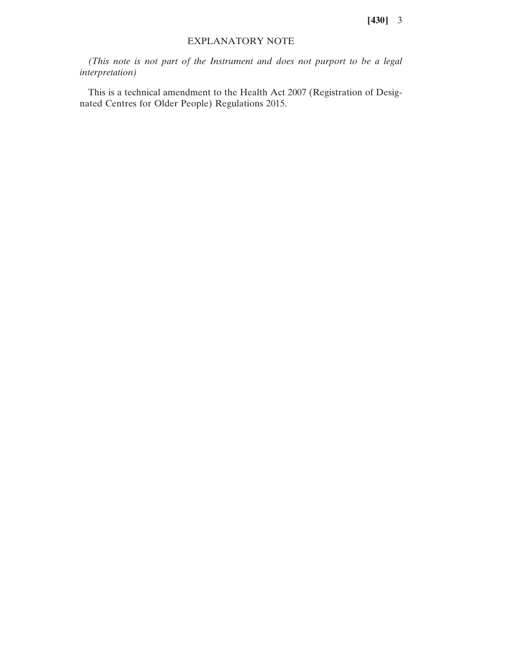**[430]** 3

## EXPLANATORY NOTE

*(This note is not part of the Instrument and does not purport to be a legal interpretation)*

This is a technical amendment to the Health Act 2007 (Registration of Designated Centres for Older People) Regulations 2015.